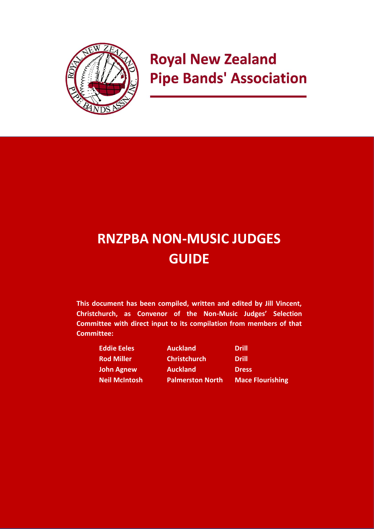

# **Royal New Zealand Pipe Bands' Association**

# **RNZPBA NON-MUSIC JUDGES GUIDE**

**This document has been compiled, written and edited by Jill Vincent, Christchurch, as Convenor of the Non-Music Judges' Selection Committee with direct input to its compilation from members of that Committee:** 

| <b>Eddie Eeles</b>   | <b>Auckland</b>         | <b>Drill</b>            |
|----------------------|-------------------------|-------------------------|
| <b>Rod Miller</b>    | <b>Christchurch</b>     | <b>Drill</b>            |
| <b>John Agnew</b>    | <b>Auckland</b>         | <b>Dress</b>            |
| <b>Neil McIntosh</b> | <b>Palmerston North</b> | <b>Mace Flourishing</b> |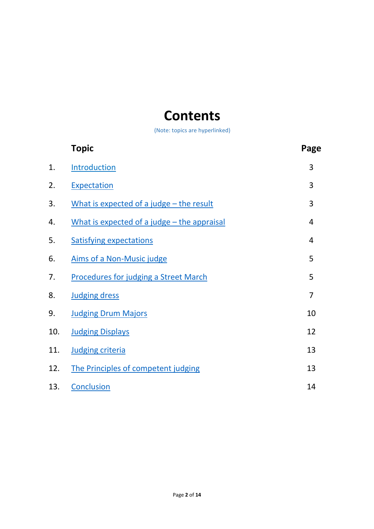# <span id="page-1-0"></span>**Contents**

(Note: topics are hyperlinked)

|     | <b>Topic</b>                                  | Page           |
|-----|-----------------------------------------------|----------------|
| 1.  | Introduction                                  | 3              |
| 2.  | Expectation                                   | 3              |
| 3.  | What is expected of a judge - the result      | 3              |
| 4.  | What is expected of a judge $-$ the appraisal | $\overline{4}$ |
| 5.  | <b>Satisfying expectations</b>                | 4              |
| 6.  | Aims of a Non-Music judge                     | 5              |
| 7.  | <b>Procedures for judging a Street March</b>  | 5              |
| 8.  | <b>Judging dress</b>                          | $\overline{7}$ |
| 9.  | <b>Judging Drum Majors</b>                    | 10             |
| 10. | <b>Judging Displays</b>                       | 12             |
| 11. | <b>Judging criteria</b>                       | 13             |
| 12. | The Principles of competent judging           | 13             |
| 13. | <b>Conclusion</b>                             | 14             |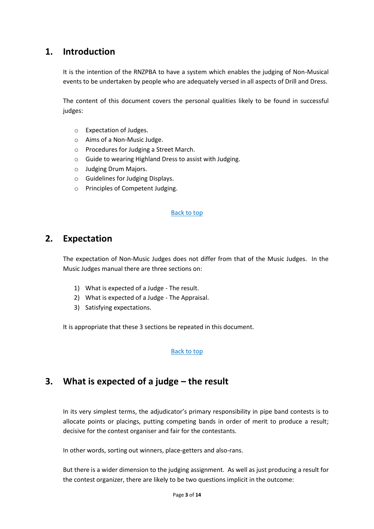# **1. Introduction**

<span id="page-2-0"></span>It is the intention of the RNZPBA to have a system which enables the judging of Non-Musical events to be undertaken by people who are adequately versed in all aspects of Drill and Dress.

The content of this document covers the personal qualities likely to be found in successful judges:

- o Expectation of Judges.
- o Aims of a Non-Music Judge.
- o Procedures for Judging a Street March.
- o Guide to wearing Highland Dress to assist with Judging.
- o Judging Drum Majors.
- o Guidelines for Judging Displays.
- o Principles of Competent Judging.

#### [Back to top](#page-1-0)

## **2. Expectation**

<span id="page-2-1"></span>The expectation of Non-Music Judges does not differ from that of the Music Judges. In the Music Judges manual there are three sections on:

- 1) What is expected of a Judge The result.
- 2) What is expected of a Judge The Appraisal.
- 3) Satisfying expectations.

It is appropriate that these 3 sections be repeated in this document.

#### [Back to top](#page-1-0)

## **3. What is expected of a judge – the result**

<span id="page-2-2"></span>In its very simplest terms, the adjudicator's primary responsibility in pipe band contests is to allocate points or placings, putting competing bands in order of merit to produce a result; decisive for the contest organiser and fair for the contestants.

In other words, sorting out winners, place-getters and also-rans.

But there is a wider dimension to the judging assignment. As well as just producing a result for the contest organizer, there are likely to be two questions implicit in the outcome: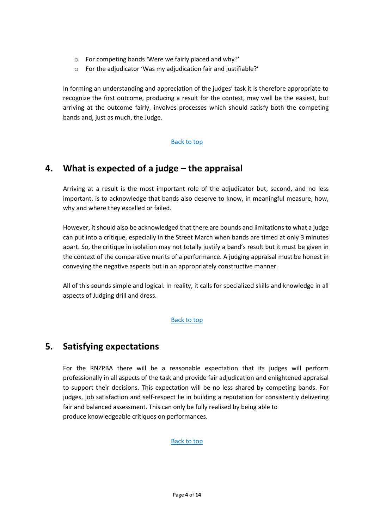- o For competing bands 'Were we fairly placed and why?'
- o For the adjudicator 'Was my adjudication fair and justifiable?'

In forming an understanding and appreciation of the judges' task it is therefore appropriate to recognize the first outcome, producing a result for the contest, may well be the easiest, but arriving at the outcome fairly, involves processes which should satisfy both the competing bands and, just as much, the Judge.

## <span id="page-3-0"></span>[Back to top](#page-1-0)

# **4. What is expected of a judge – the appraisal**

Arriving at a result is the most important role of the adjudicator but, second, and no less important, is to acknowledge that bands also deserve to know, in meaningful measure, how, why and where they excelled or failed.

However, it should also be acknowledged that there are bounds and limitations to what a judge can put into a critique, especially in the Street March when bands are timed at only 3 minutes apart. So, the critique in isolation may not totally justify a band's result but it must be given in the context of the comparative merits of a performance. A judging appraisal must be honest in conveying the negative aspects but in an appropriately constructive manner.

All of this sounds simple and logical. In reality, it calls for specialized skills and knowledge in all aspects of Judging drill and dress.

## <span id="page-3-1"></span>[Back to top](#page-1-0)

# **5. Satisfying expectations**

For the RNZPBA there will be a reasonable expectation that its judges will perform professionally in all aspects of the task and provide fair adjudication and enlightened appraisal to support their decisions. This expectation will be no less shared by competing bands. For judges, job satisfaction and self-respect lie in building a reputation for consistently delivering fair and balanced assessment. This can only be fully realised by being able to produce knowledgeable critiques on performances.

## [Back to top](#page-1-0)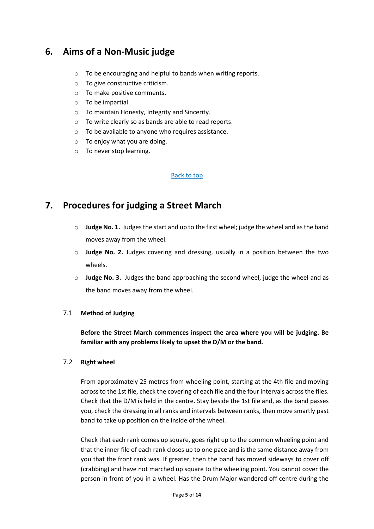# **6. Aims of a Non-Music judge**

- <span id="page-4-0"></span>o To be encouraging and helpful to bands when writing reports.
- o To give constructive criticism.
- o To make positive comments.
- o To be impartial.
- o To maintain Honesty, Integrity and Sincerity.
- o To write clearly so as bands are able to read reports.
- o To be available to anyone who requires assistance.
- o To enjoy what you are doing.
- o To never stop learning.

#### [Back to top](#page-1-0)

# **7. Procedures for judging a Street March**

- <span id="page-4-1"></span>o **Judge No. 1.** Judges the start and up to the first wheel; judge the wheel and as the band moves away from the wheel.
- o **Judge No. 2.** Judges covering and dressing, usually in a position between the two wheels.
- o **Judge No. 3.** Judges the band approaching the second wheel, judge the wheel and as the band moves away from the wheel.

#### 7.1 **Method of Judging**

**Before the Street March commences inspect the area where you will be judging. Be familiar with any problems likely to upset the D/M or the band.**

#### 7.2 **Right wheel**

From approximately 25 metres from wheeling point, starting at the 4th file and moving across to the 1st file, check the covering of each file and the four intervals across the files. Check that the D/M is held in the centre. Stay beside the 1st file and, as the band passes you, check the dressing in all ranks and intervals between ranks, then move smartly past band to take up position on the inside of the wheel.

Check that each rank comes up square, goes right up to the common wheeling point and that the inner file of each rank closes up to one pace and is the same distance away from you that the front rank was. If greater, then the band has moved sideways to cover off (crabbing) and have not marched up square to the wheeling point. You cannot cover the person in front of you in a wheel. Has the Drum Major wandered off centre during the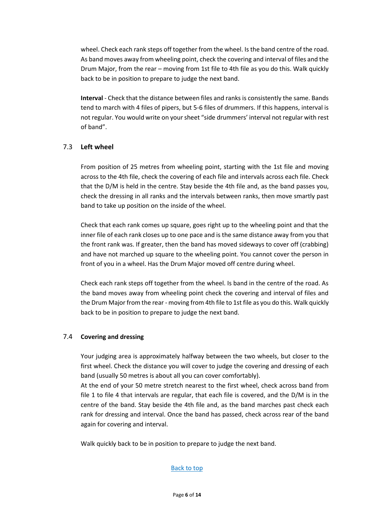wheel. Check each rank steps off together from the wheel. Is the band centre of the road. As band moves away from wheeling point, check the covering and interval of files and the Drum Major, from the rear – moving from 1st file to 4th file as you do this. Walk quickly back to be in position to prepare to judge the next band.

**Interval** - Check that the distance between files and ranks is consistently the same. Bands tend to march with 4 files of pipers, but 5-6 files of drummers. If this happens, interval is not regular. You would write on your sheet "side drummers' interval not regular with rest of band".

## 7.3 **Left wheel**

From position of 25 metres from wheeling point, starting with the 1st file and moving across to the 4th file, check the covering of each file and intervals across each file. Check that the D/M is held in the centre. Stay beside the 4th file and, as the band passes you, check the dressing in all ranks and the intervals between ranks, then move smartly past band to take up position on the inside of the wheel.

Check that each rank comes up square, goes right up to the wheeling point and that the inner file of each rank closes up to one pace and is the same distance away from you that the front rank was. If greater, then the band has moved sideways to cover off (crabbing) and have not marched up square to the wheeling point. You cannot cover the person in front of you in a wheel. Has the Drum Major moved off centre during wheel.

Check each rank steps off together from the wheel. Is band in the centre of the road. As the band moves away from wheeling point check the covering and interval of files and the Drum Major from the rear - moving from 4th file to 1st file as you do this. Walk quickly back to be in position to prepare to judge the next band.

## 7.4 **Covering and dressing**

Your judging area is approximately halfway between the two wheels, but closer to the first wheel. Check the distance you will cover to judge the covering and dressing of each band (usually 50 metres is about all you can cover comfortably).

At the end of your 50 metre stretch nearest to the first wheel, check across band from file 1 to file 4 that intervals are regular, that each file is covered, and the D/M is in the centre of the band. Stay beside the 4th file and, as the band marches past check each rank for dressing and interval. Once the band has passed, check across rear of the band again for covering and interval.

Walk quickly back to be in position to prepare to judge the next band.

## [Back to top](#page-1-0)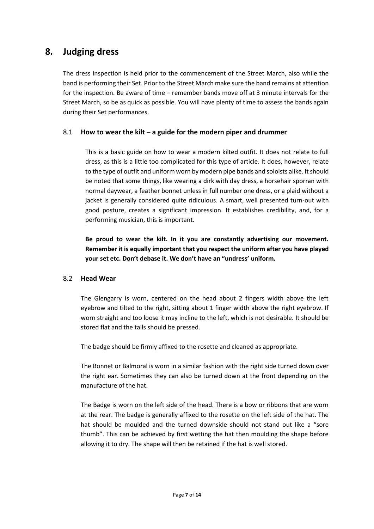# **8. Judging dress**

<span id="page-6-0"></span>The dress inspection is held prior to the commencement of the Street March, also while the band is performing their Set. Prior to the Street March make sure the band remains at attention for the inspection. Be aware of time – remember bands move off at 3 minute intervals for the Street March, so be as quick as possible. You will have plenty of time to assess the bands again during their Set performances.

## 8.1 **How to wear the kilt – a guide for the modern piper and drummer**

This is a basic guide on how to wear a modern kilted outfit. It does not relate to full dress, as this is a little too complicated for this type of article. It does, however, relate to the type of outfit and uniform worn by modern pipe bands and soloists alike. It should be noted that some things, like wearing a dirk with day dress, a horsehair sporran with normal daywear, a feather bonnet unless in full number one dress, or a plaid without a jacket is generally considered quite ridiculous. A smart, well presented turn-out with good posture, creates a significant impression. It establishes credibility, and, for a performing musician, this is important.

**Be proud to wear the kilt. In it you are constantly advertising our movement. Remember it is equally important that you respect the uniform after you have played your set etc. Don't debase it. We don't have an "undress' uniform.**

## 8.2 **Head Wear**

The Glengarry is worn, centered on the head about 2 fingers width above the left eyebrow and tilted to the right, sitting about 1 finger width above the right eyebrow. If worn straight and too loose it may incline to the left, which is not desirable. It should be stored flat and the tails should be pressed.

The badge should be firmly affixed to the rosette and cleaned as appropriate.

The Bonnet or Balmoral is worn in a similar fashion with the right side turned down over the right ear. Sometimes they can also be turned down at the front depending on the manufacture of the hat.

The Badge is worn on the left side of the head. There is a bow or ribbons that are worn at the rear. The badge is generally affixed to the rosette on the left side of the hat. The hat should be moulded and the turned downside should not stand out like a "sore thumb". This can be achieved by first wetting the hat then moulding the shape before allowing it to dry. The shape will then be retained if the hat is well stored.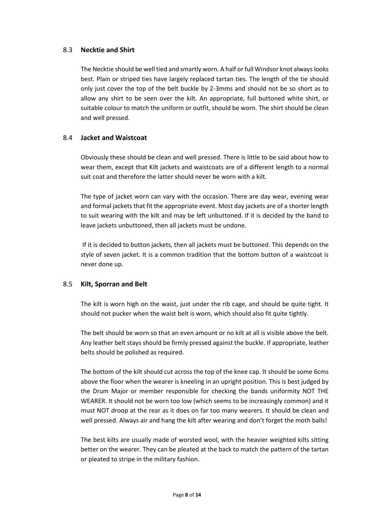## 8.3 **Necktie and Shirt**

The Necktie should be well tied and smartly worn. A half or full Windsor knot always looks best. Plain or striped ties have largely replaced tartan ties. The length of the tie should only just cover the top of the belt buckle by 2-3mms and should not be so short as to allow any shirt to be seen over the kilt. An appropriate, full buttoned white shirt, or suitable colour to match the uniform or outfit, should be worn. The shirt should be clean and well pressed.

## 8.4 **Jacket and Waistcoat**

Obviously these should be clean and well pressed. There is little to be said about how to wear them, except that Kilt jackets and waistcoats are of a different length to a normal suit coat and therefore the latter should never be worn with a kilt.

The type of jacket worn can vary with the occasion. There are day wear, evening wear and formal jackets that fit the appropriate event. Most day jackets are of a shorter length to suit wearing with the kilt and may be left unbuttoned. If it is decided by the band to leave jackets unbuttoned, then all jackets must be undone.

If it is decided to button jackets, then all jackets must be buttoned. This depends on the style of seven jacket. It is a common tradition that the bottom button of a waistcoat is never done up.

## 8.5 **Kilt, Sporran and Belt**

The kilt is worn high on the waist, just under the rib cage, and should be quite tight. It should not pucker when the waist belt is worn, which should also fit quite tightly.

The belt should be worn so that an even amount or no kilt at all is visible above the belt. Any leather belt stays should be firmly pressed against the buckle. If appropriate, leather belts should be polished as required.

The bottom of the kilt should cut across the top of the knee cap. It should be some 6cms above the floor when the wearer is kneeling in an upright position. This is best judged by the Drum Major or member responsible for checking the bands uniformity NOT THE WEARER. It should not be worn too low (which seems to be increasingly common) and it must NOT droop at the rear as it does on far too many wearers. It should be clean and well pressed. Always air and hang the kilt after wearing and don't forget the moth balls!

The best kilts are usually made of worsted wool, with the heavier weighted kilts sitting better on the wearer. They can be pleated at the back to match the pattern of the tartan or pleated to stripe in the military fashion.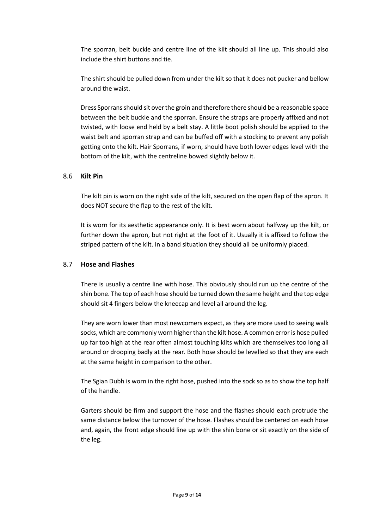The sporran, belt buckle and centre line of the kilt should all line up. This should also include the shirt buttons and tie.

The shirt should be pulled down from under the kilt so that it does not pucker and bellow around the waist.

Dress Sporrans should sit over the groin and therefore there should be a reasonable space between the belt buckle and the sporran. Ensure the straps are properly affixed and not twisted, with loose end held by a belt stay. A little boot polish should be applied to the waist belt and sporran strap and can be buffed off with a stocking to prevent any polish getting onto the kilt. Hair Sporrans, if worn, should have both lower edges level with the bottom of the kilt, with the centreline bowed slightly below it.

## 8.6 **Kilt Pin**

The kilt pin is worn on the right side of the kilt, secured on the open flap of the apron. It does NOT secure the flap to the rest of the kilt.

It is worn for its aesthetic appearance only. It is best worn about halfway up the kilt, or further down the apron, but not right at the foot of it. Usually it is affixed to follow the striped pattern of the kilt. In a band situation they should all be uniformly placed.

## 8.7 **Hose and Flashes**

There is usually a centre line with hose. This obviously should run up the centre of the shin bone. The top of each hose should be turned down the same height and the top edge should sit 4 fingers below the kneecap and level all around the leg.

They are worn lower than most newcomers expect, as they are more used to seeing walk socks, which are commonly worn higher than the kilt hose. A common error is hose pulled up far too high at the rear often almost touching kilts which are themselves too long all around or drooping badly at the rear. Both hose should be levelled so that they are each at the same height in comparison to the other.

The Sgian Dubh is worn in the right hose, pushed into the sock so as to show the top half of the handle.

Garters should be firm and support the hose and the flashes should each protrude the same distance below the turnover of the hose. Flashes should be centered on each hose and, again, the front edge should line up with the shin bone or sit exactly on the side of the leg.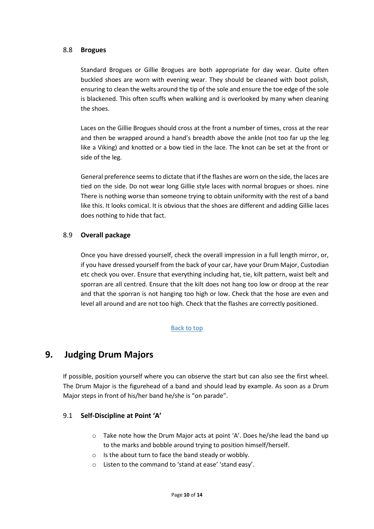#### 8.8 **Brogues**

Standard Brogues or Gillie Brogues are both appropriate for day wear. Quite often buckled shoes are worn with evening wear. They should be cleaned with boot polish, ensuring to clean the welts around the tip of the sole and ensure the toe edge of the sole is blackened. This often scuffs when walking and is overlooked by many when cleaning the shoes.

Laces on the Gillie Brogues should cross at the front a number of times, cross at the rear and then be wrapped around a hand's breadth above the ankle (not too far up the leg like a Viking) and knotted or a bow tied in the lace. The knot can be set at the front or side of the leg.

General preference seems to dictate that if the flashes are worn on the side, the laces are tied on the side. Do not wear long Gillie style laces with normal brogues or shoes. nine There is nothing worse than someone trying to obtain uniformity with the rest of a band like this. It looks comical. It is obvious that the shoes are different and adding Gillie laces does nothing to hide that fact.

## 8.9 **Overall package**

Once you have dressed yourself, check the overall impression in a full length mirror, or, if you have dressed yourself from the back of your car, have your Drum Major, Custodian etc check you over. Ensure that everything including hat, tie, kilt pattern, waist belt and sporran are all centred. Ensure that the kilt does not hang too low or droop at the rear and that the sporran is not hanging too high or low. Check that the hose are even and level all around and are not too high. Check that the flashes are correctly positioned.

## [Back to top](#page-1-0)

# **9. Judging Drum Majors**

<span id="page-9-0"></span>If possible, position yourself where you can observe the start but can also see the first wheel. The Drum Major is the figurehead of a band and should lead by example. As soon as a Drum Major steps in front of his/her band he/she is "on parade".

## 9.1 **Self-Discipline at Point 'A'**

- $\circ$  Take note how the Drum Major acts at point 'A'. Does he/she lead the band up to the marks and bobble around trying to position himself/herself.
- o Is the about turn to face the band steady or wobbly.
- o Listen to the command to 'stand at ease' 'stand easy'.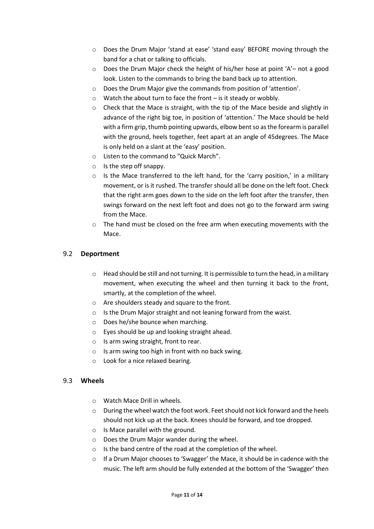- o Does the Drum Major 'stand at ease' 'stand easy' BEFORE moving through the band for a chat or talking to officials.
- $\circ$  Does the Drum Major check the height of his/her hose at point 'A'– not a good look. Listen to the commands to bring the band back up to attention.
- o Does the Drum Major give the commands from position of 'attention'.
- o Watch the about turn to face the front is it steady or wobbly.
- $\circ$  Check that the Mace is straight, with the tip of the Mace beside and slightly in advance of the right big toe, in position of 'attention.' The Mace should be held with a firm grip, thumb pointing upwards, elbow bent so as the forearm is parallel with the ground, heels together, feet apart at an angle of 45degrees. The Mace is only held on a slant at the 'easy' position.
- o Listen to the command to "Quick March".
- o Is the step off snappy.
- $\circ$  Is the Mace transferred to the left hand, for the 'carry position,' in a military movement, or is it rushed. The transfer should all be done on the left foot. Check that the right arm goes down to the side on the left foot after the transfer, then swings forward on the next left foot and does not go to the forward arm swing from the Mace.
- $\circ$  The hand must be closed on the free arm when executing movements with the Mace.

## 9.2 **Deportment**

- $\circ$  Head should be still and not turning. It is permissible to turn the head, in a military movement, when executing the wheel and then turning it back to the front, smartly, at the completion of the wheel.
- o Are shoulders steady and square to the front.
- o Is the Drum Major straight and not leaning forward from the waist.
- o Does he/she bounce when marching.
- o Eyes should be up and looking straight ahead.
- o Is arm swing straight, front to rear.
- $\circ$  Is arm swing too high in front with no back swing.
- o Look for a nice relaxed bearing.

## 9.3 **Wheels**

- o Watch Mace Drill in wheels.
- $\circ$  During the wheel watch the foot work. Feet should not kick forward and the heels should not kick up at the back. Knees should be forward, and toe dropped.
- o Is Mace parallel with the ground.
- o Does the Drum Major wander during the wheel.
- o Is the band centre of the road at the completion of the wheel.
- $\circ$  If a Drum Major chooses to 'Swagger' the Mace, it should be in cadence with the music. The left arm should be fully extended at the bottom of the 'Swagger' then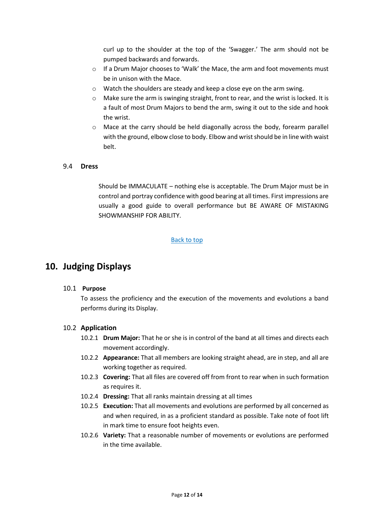curl up to the shoulder at the top of the 'Swagger.' The arm should not be pumped backwards and forwards.

- o If a Drum Major chooses to 'Walk' the Mace, the arm and foot movements must be in unison with the Mace.
- o Watch the shoulders are steady and keep a close eye on the arm swing.
- $\circ$  Make sure the arm is swinging straight, front to rear, and the wrist is locked. It is a fault of most Drum Majors to bend the arm, swing it out to the side and hook the wrist.
- o Mace at the carry should be held diagonally across the body, forearm parallel with the ground, elbow close to body. Elbow and wrist should be in line with waist belt.

## 9.4 **Dress**

Should be IMMACULATE – nothing else is acceptable. The Drum Major must be in control and portray confidence with good bearing at all times. First impressions are usually a good guide to overall performance but BE AWARE OF MISTAKING SHOWMANSHIP FOR ABILITY.

#### [Back to top](#page-1-0)

## **10. Judging Displays**

#### <span id="page-11-0"></span>10.1 **Purpose**

To assess the proficiency and the execution of the movements and evolutions a band performs during its Display.

#### 10.2 **Application**

- 10.2.1 **Drum Major:** That he or she is in control of the band at all times and directs each movement accordingly.
- 10.2.2 **Appearance:** That all members are looking straight ahead, are in step, and all are working together as required.
- 10.2.3 **Covering:** That all files are covered off from front to rear when in such formation as requires it.
- 10.2.4 **Dressing:** That all ranks maintain dressing at all times
- 10.2.5 **Execution:** That all movements and evolutions are performed by all concerned as and when required, in as a proficient standard as possible. Take note of foot lift in mark time to ensure foot heights even.
- 10.2.6 **Variety:** That a reasonable number of movements or evolutions are performed in the time available.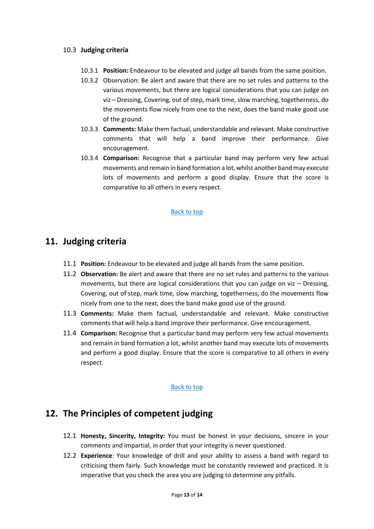## 10.3 **Judging criteria**

- 10.3.1 **Position:** Endeavour to be elevated and judge all bands from the same position.
- 10.3.2 Observation: Be alert and aware that there are no set rules and patterns to the various movements, but there are logical considerations that you can judge on viz – Dressing, Covering, out of step, mark time, slow marching, togetherness, do the movements flow nicely from one to the next, does the band make good use of the ground.
- 10.3.3 **Comments:** Make them factual, understandable and relevant. Make constructive comments that will help a band improve their performance. Give encouragement.
- 10.3.4 **Comparison:** Recognise that a particular band may perform very few actual movements and remain in band formation a lot, whilst another band may execute lots of movements and perform a good display. Ensure that the score is comparative to all others in every respect.

#### [Back to top](#page-1-0)

## **11. Judging criteria**

- <span id="page-12-0"></span>11.1 **Position:** Endeavour to be elevated and judge all bands from the same position.
- 11.2 **Observation:** Be alert and aware that there are no set rules and patterns to the various movements, but there are logical considerations that you can judge on viz – Dressing, Covering, out of step, mark time, slow marching, togetherness, do the movements flow nicely from one to the next, does the band make good use of the ground.
- 11.3 **Comments:** Make them factual, understandable and relevant. Make constructive comments that will help a band improve their performance. Give encouragement.
- 11.4 **Comparison:** Recognise that a particular band may perform very few actual movements and remain in band formation a lot, whilst another band may execute lots of movements and perform a good display. Ensure that the score is comparative to all others in every respect.

#### [Back to top](#page-1-0)

## **12. The Principles of competent judging**

- <span id="page-12-1"></span>12.1 **Honesty, Sincerity, Integrity:** You must be honest in your decisions, sincere in your comments and impartial, in order that your integrity is never questioned.
- 12.2 **Experience**: Your knowledge of drill and your ability to assess a band with regard to criticising them fairly. Such knowledge must be constantly reviewed and practiced. It is imperative that you check the area you are judging to determine any pitfalls.